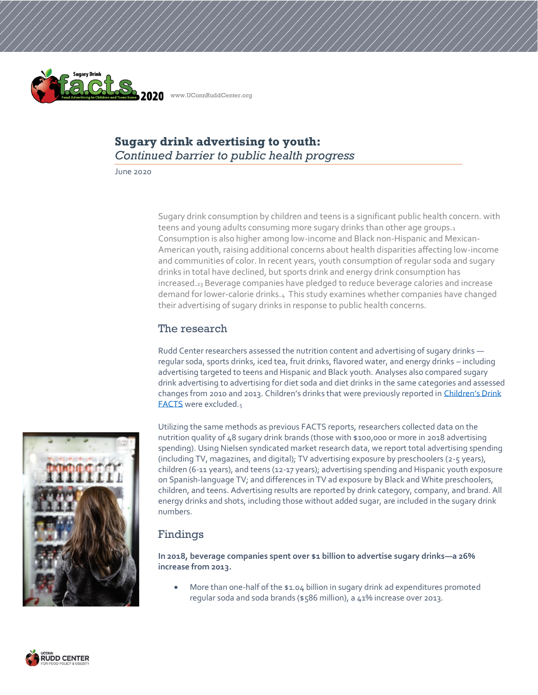

# **Sugary drink advertising to youth:**  *Continued barrier to public health progress*

June 2020

Sugary drink consumption by children and teens is a significant public health concern. with teens and young adults consuming more sugary drinks than other age groups.1 Consumption is also higher among low-income and Black non-Hispanic and Mexican-American youth, raising additional concerns about health disparities affecting low-income and communities of color. In recent years, youth consumption of regular soda and sugary drinks in total have declined, but sports drink and energy drink consumption has increased.<sup>23</sup> Beverage companies have pledged to reduce beverage calories and increase demand for lower-calorie drinks.4 This study examines whether companies have changed their advertising of sugary drinks in response to public health concerns.

## The research

Rudd Center researchers assessed the nutrition content and advertising of sugary drinks regular soda, sports drinks, iced tea, fruit drinks, flavored water, and energy drinks – including advertising targeted to teens and Hispanic and Black youth. Analyses also compared sugary drink advertising to advertising for diet soda and diet drinks in the same categories and assessed changes from 2010 and 2013. Children's drinks that were previously reported i[n Children's Drink](http://uconnruddcenter.org/files/Pdfs/FACTS2019.pdf)  [FACTS](http://uconnruddcenter.org/files/Pdfs/FACTS2019.pdf) were excluded.<sup>5</sup>



Utilizing the same methods as previous FACTS reports, researchers collected data on the nutrition quality of 48 sugary drink brands (those with \$100,000 or more in 2018 advertising spending). Using Nielsen syndicated market research data, we report total advertising spending (including TV, magazines, and digital); TV advertising exposure by preschoolers (2-5 years), children (6-11 years), and teens (12-17 years); advertising spending and Hispanic youth exposure on Spanish-language TV; and differences in TV ad exposure by Black and White preschoolers, children, and teens. Advertising results are reported by drink category, company, and brand. All energy drinks and shots, including those without added sugar, are included in the sugary drink numbers.

# Findings

**In 2018, beverage companies spent over \$1 billion to advertise sugary drinks—a 26% increase from 2013.**

More than one-half of the \$1.04 billion in sugary drink ad expenditures promoted regular soda and soda brands (\$586 million), a 41% increase over 2013.

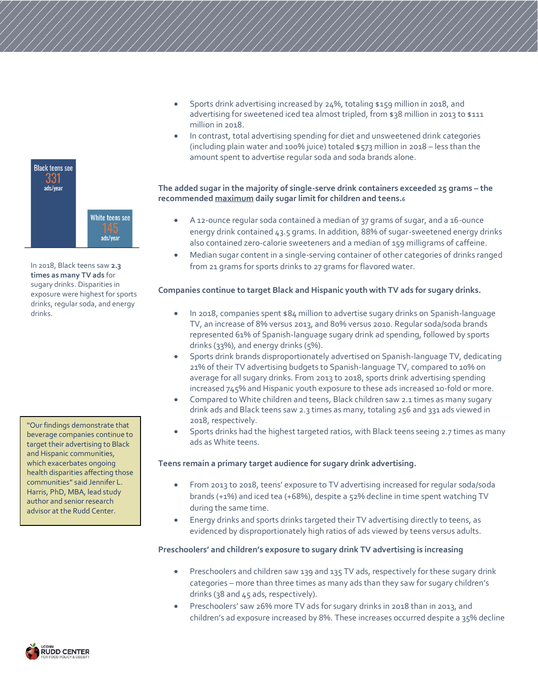

In 2018, Black teens saw **2.3 times as many TV ads** for sugary drinks. Disparities in exposure were highest for sports drinks, regular soda, and energy drinks.

"Our findings demonstrate that beverage companies continue to target their advertising to Black and Hispanic communities, which exacerbates ongoing health disparities affecting those communities" said Jennifer L. Harris, PhD, MBA, lead study author and senior research advisor at the Rudd Center.

- Sports drink advertising increased by 24%, totaling \$159 million in 2018, and advertising for sweetened iced tea almost tripled, from \$38 million in 2013 to \$111 million in 2018.
- In contrast, total advertising spending for diet and unsweetened drink categories (including plain water and 100% juice) totaled \$573 million in 2018 – less than the amount spent to advertise regular soda and soda brands alone.

### **The added sugar in the majority of single-serve drink containers exceeded 25 grams – the recommended maximum daily sugar limit for children and teens.<sup>6</sup>**

- A 12-ounce regular soda contained a median of 37 grams of sugar, and a 16-ounce energy drink contained 43.5 grams. In addition, 88% of sugar-sweetened energy drinks also contained zero-calorie sweeteners and a median of 159 milligrams of caffeine.
- Median sugar content in a single-serving container of other categories of drinks ranged from 21 grams for sports drinks to 27 grams for flavored water.

### **Companies continue to target Black and Hispanic youth with TV ads for sugary drinks.**

- In 2018, companies spent \$84 million to advertise sugary drinks on Spanish-language TV, an increase of 8% versus 2013, and 80% versus 2010. Regular soda/soda brands represented 61% of Spanish-language sugary drink ad spending, followed by sports drinks (33%), and energy drinks (5%).
- Sports drink brands disproportionately advertised on Spanish-language TV, dedicating 21% of their TV advertising budgets to Spanish-language TV, compared to 10% on average for all sugary drinks. From 2013 to 2018, sports drink advertising spending increased 745% and Hispanic youth exposure to these ads increased 10-fold or more.
- Compared to White children and teens, Black children saw 2.1 times as many sugary drink ads and Black teens saw 2.3 times as many, totaling 256 and 331 ads viewed in 2018, respectively.
- Sports drinks had the highest targeted ratios, with Black teens seeing 2.7 times as many ads as White teens.

### **Teens remain a primary target audience for sugary drink advertising.**

- From 2013 to 2018, teens' exposure to TV advertising increased for regular soda/soda brands (+1%) and iced tea (+68%), despite a 52% decline in time spent watching TV during the same time.
- Energy drinks and sports drinks targeted their TV advertising directly to teens, as evidenced by disproportionately high ratios of ads viewed by teens versus adults.

### **Preschoolers' and children's exposure to sugary drink TV advertising is increasing**

- Preschoolers and children saw 139 and 135 TV ads, respectively for these sugary drink categories – more than three times as many ads than they saw for sugary children's drinks (38 and 45 ads, respectively).
- Preschoolers' saw 26% more TV ads for sugary drinks in 2018 than in 2013, and children's ad exposure increased by 8%. These increases occurred despite a 35% decline

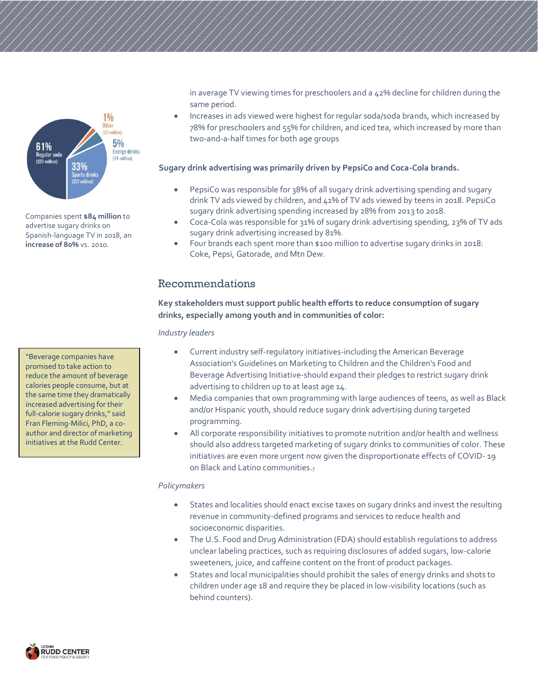

Companies spent **\$84 million** to advertise sugary drinks on Spanish-language TV in 2018, an **increase of 80%** vs. 2010.

"Beverage companies have promised to take action to reduce the amount of beverage calories people consume, but at the same time they dramatically increased advertising for their full-calorie sugary drinks," said Fran Fleming-Milici, PhD, a coauthor and director of marketing initiatives at the Rudd Center.

in average TV viewing times for preschoolers and a 42% decline for children during the same period.

• Increases in ads viewed were highest for regular soda/soda brands, which increased by 78% for preschoolers and 55% for children, and iced tea, which increased by more than two-and-a-half times for both age groups

#### **Sugary drink advertising was primarily driven by PepsiCo and Coca-Cola brands.**

- PepsiCo was responsible for 38% of all sugary drink advertising spending and sugary drink TV ads viewed by children, and 41% of TV ads viewed by teens in 2018. PepsiCo sugary drink advertising spending increased by 28% from 2013 to 2018.
- Coca-Cola was responsible for 31% of sugary drink advertising spending, 23% of TV ads sugary drink advertising increased by 81%.
- Four brands each spent more than \$100 million to advertise sugary drinks in 2018: Coke, Pepsi, Gatorade, and Mtn Dew.

## Recommendations

### **Key stakeholders must support public health efforts to reduce consumption of sugary drinks, especially among youth and in communities of color:**

*Industry leaders*

- Current industry self-regulatory initiatives-including the American Beverage Association's Guidelines on Marketing to Children and the Children's Food and Beverage Advertising Initiative-should expand their pledges to restrict sugary drink advertising to children up to at least age 14.
- Media companies that own programming with large audiences of teens, as well as Black and/or Hispanic youth, should reduce sugary drink advertising during targeted programming.
- All corporate responsibility initiatives to promote nutrition and/or health and wellness should also address targeted marketing of sugary drinks to communities of color. These initiatives are even more urgent now given the disproportionate effects of COVID- 19 on Black and Latino communities.<sup>7</sup>

#### *Policymakers*

- States and localities should enact excise taxes on sugary drinks and invest the resulting revenue in community-defined programs and services to reduce health and socioeconomic disparities.
- The U.S. Food and Drug Administration (FDA) should establish regulations to address unclear labeling practices, such as requiring disclosures of added sugars, low-calorie sweeteners, juice, and caffeine content on the front of product packages.
- States and local municipalities should prohibit the sales of energy drinks and shots to children under age 18 and require they be placed in low-visibility locations (such as behind counters).